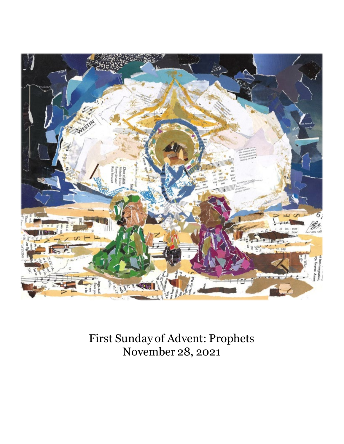

First Sunday of Advent: Prophets November 28, 2021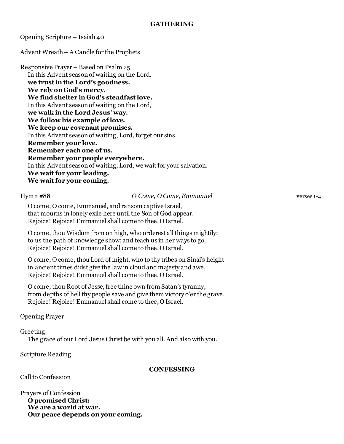Opening Scripture – Isaiah 40

Advent Wreath – A Candle for the Prophets

Responsive Prayer – Based on Psalm 25 In this Advent season of waiting on the Lord, **we trust in the Lord's goodness. We rely on God's mercy. We find shelter in God's steadfast love.** In this Advent season of waiting on the Lord, **we walk in the Lord Jesus' way. We follow his example of love. We keep our covenant promises.** In this Advent season of waiting, Lord, forget our sins. **Remember your love. Remember each one of us. Remember your people everywhere.** In this Advent season of waiting, Lord, we wait for your salvation. **We wait for your leading. We wait for your coming.**

## Hymn #88 *O Come, O Come, Emmanuel* verses 1-4

O come, O come, Emmanuel, and ransom captive Israel, that mourns in lonely exile here until the Son of God appear. Rejoice! Rejoice! Emmanuel shall come to thee, O Israel.

O come, thou Wisdom from on high, who orderest all things mightily: to us the path of knowledge show; and teach us in her ways to go. Rejoice! Rejoice! Emmanuel shall come to thee, O Israel.

O come, O come, thou Lord of might, who to thy tribes on Sinai's height in ancient times didst give the law in cloud and majesty and awe. Rejoice! Rejoice! Emmanuel shall come to thee, O Israel.

O come, thou Root of Jesse, free thine own from Satan's tyranny; from depths of hell thy people save and give them victory o'er the grave. Rejoice! Rejoice! Emmanuel shall come to thee, O Israel.

Opening Prayer

Greeting The grace of our Lord Jesus Christ be with you all. And also with you.

Scripture Reading

# **CONFESSING**

Call to Confession

Prayers of Confession **O promised Christ: We are a world at war. Our peace depends on your coming.**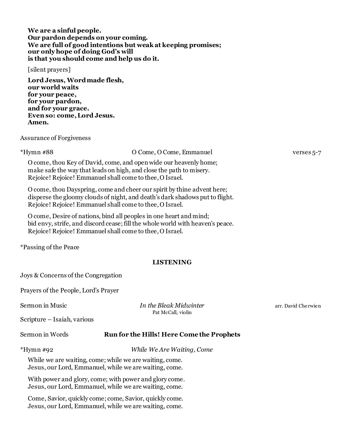| We are a sinful people.                                      |
|--------------------------------------------------------------|
| Our pardon depends on your coming.                           |
| We are full of good intentions but weak at keeping promises; |
| our only hope of doing God's will                            |
| is that you should come and help us do it.                   |

#### [silent prayers]

**Lord Jesus, Word made flesh, our world waits for your peace, for your pardon, and for your grace. Even so: come, Lord Jesus. Amen.**

### Assurance of Forgiveness

#### \*Hymn #88 O Come, O Come, Emmanuel verses 5-7

O come, thou Key of David, come, and open wide our heavenly home; make safe the way that leads on high, and close the path to misery. Rejoice! Rejoice! Emmanuel shall come to thee, O Israel.

O come, thou Dayspring, come and cheer our spirit by thine advent here; disperse the gloomy clouds of night, and death's dark shadows put to flight. Rejoice! Rejoice! Emmanuel shall come to thee, O Israel.

O come, Desire of nations, bind all peoples in one heart and mind; bid envy, strife, and discord cease; fill the whole world with heaven's peace. Rejoice! Rejoice! Emmanuel shall come to thee, O Israel.

\*Passing of the Peace

# **LISTENING**

Joys & Concerns of the Congregation

Prayers of the People, Lord's Prayer

**Sermon in Music** *In the Bleak Midwinter* arr. David Cherwien Pat McCall, violin

Scripture – Isaiah, various

# Sermon in Words **Run for the Hills! Here Come the Prophets**

\*Hymn #92 *While We Are Waiting, Come*

While we are waiting, come; while we are waiting, come. Jesus, our Lord, Emmanuel, while we are waiting, come.

With power and glory, come; with power and glory come. Jesus, our Lord, Emmanuel, while we are waiting, come.

Come, Savior, quickly come; come, Savior, quickly come. Jesus, our Lord, Emmanuel, while we are waiting, come.